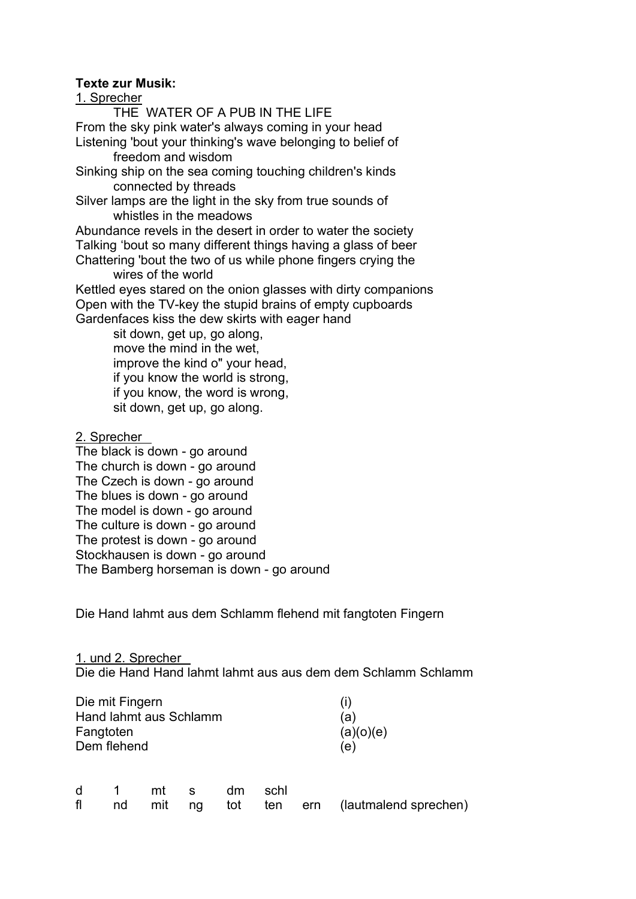## Texte zur Musik:

## 1. Sprecher

 THE WATER OF A PUB IN THE LIFE From the sky pink water's always coming in your head Listening 'bout your thinking's wave belonging to belief of freedom and wisdom

Sinking ship on the sea coming touching children's kinds connected by threads

Silver lamps are the light in the sky from true sounds of whistles in the meadows

Abundance revels in the desert in order to water the society Talking 'bout so many different things having a glass of beer Chattering 'bout the two of us while phone fingers crying the

 wires of the world Kettled eyes stared on the onion glasses with dirty companions Open with the TV-key the stupid brains of empty cupboards

Gardenfaces kiss the dew skirts with eager hand

sit down, get up, go along, move the mind in the wet, improve the kind o" your head, if you know the world is strong, if you know, the word is wrong, sit down, get up, go along.

2. Sprecher

The black is down - go around The church is down - go around The Czech is down - go around The blues is down - go around The model is down - go around The culture is down - go around The protest is down - go around Stockhausen is down - go around The Bamberg horseman is down - go around

Die Hand lahmt aus dem Schlamm flehend mit fangtoten Fingern

1. und 2. Sprecher Die die Hand Hand lahmt lahmt aus aus dem dem Schlamm Schlamm

| Die mit Fingern        | (i)       |
|------------------------|-----------|
| Hand lahmt aus Schlamm | (a)       |
| Fangtoten              | (a)(o)(e) |
| Dem flehend            | (e)       |

|  |  | d 1 mt s dm schl |  |                                                |
|--|--|------------------|--|------------------------------------------------|
|  |  |                  |  | fl nd mit ng tot ten ern (lautmalend sprechen) |